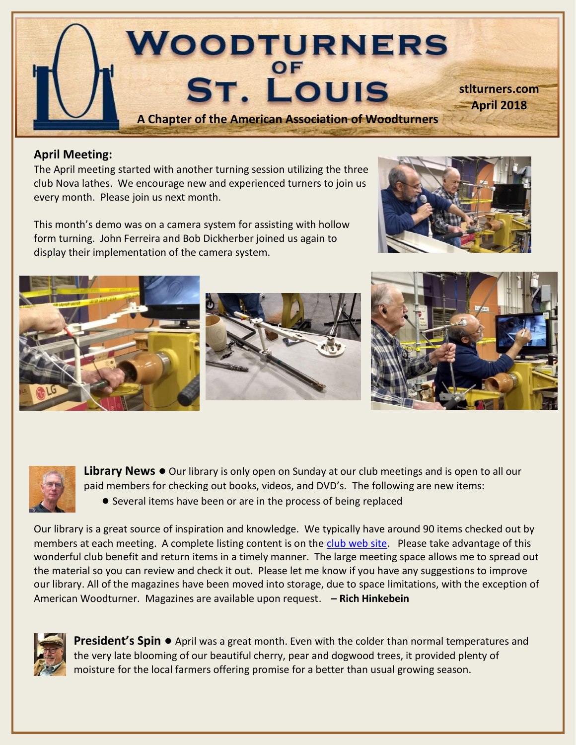

## **April Meeting:**

The April meeting started with another turning session utilizing the three club Nova lathes. We encourage new and experienced turners to join us every month. Please join us next month.

This month's demo was on a camera system for assisting with hollow form turning. John Ferreira and Bob Dickherber joined us again to display their implementation of the camera system.







**Library News ●** Our library is only open on Sunday at our club meetings and is open to all our paid members for checking out books, videos, and DVD's. The following are new items: **●** Several items have been or are in the process of being replaced

Our library is a great source of inspiration and knowledge. We typically have around 90 items checked out by members at each meeting. A complete listing content is on the [club web site.](http://turnedtreasuresllc.com/wstl2/) Please take advantage of this wonderful club benefit and return items in a timely manner. The large meeting space allows me to spread out the material so you can review and check it out. Please let me know if you have any suggestions to improve our library. All of the magazines have been moved into storage, due to space limitations, with the exception of American Woodturner. Magazines are available upon request. **– Rich Hinkebein**



**President's Spin ●** April was a great month. Even with the colder than normal temperatures and the very late blooming of our beautiful cherry, pear and dogwood trees, it provided plenty of moisture for the local farmers offering promise for a better than usual growing season.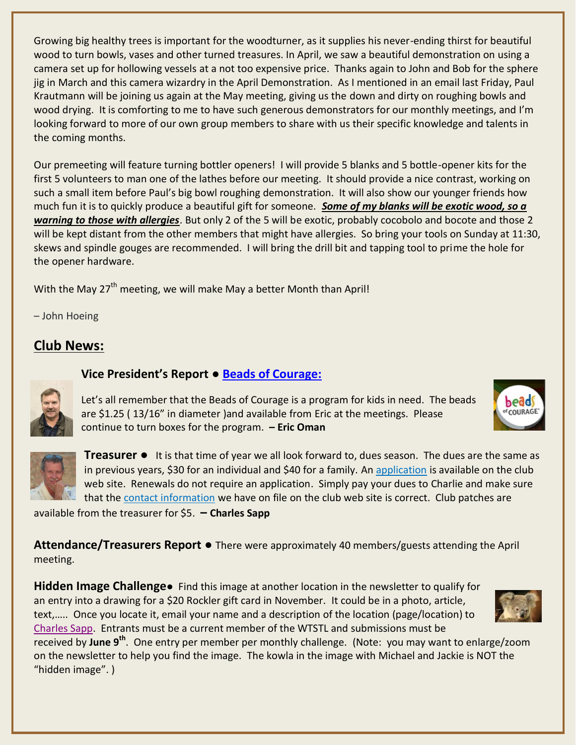Growing big healthy trees is important for the woodturner, as it supplies his never-ending thirst for beautiful wood to turn bowls, vases and other turned treasures. In April, we saw a beautiful demonstration on using a camera set up for hollowing vessels at a not too expensive price. Thanks again to John and Bob for the sphere jig in March and this camera wizardry in the April Demonstration. As I mentioned in an email last Friday, Paul Krautmann will be joining us again at the May meeting, giving us the down and dirty on roughing bowls and wood drying. It is comforting to me to have such generous demonstrators for our monthly meetings, and I'm looking forward to more of our own group members to share with us their specific knowledge and talents in the coming months.

Our premeeting will feature turning bottler openers! I will provide 5 blanks and 5 bottle-opener kits for the first 5 volunteers to man one of the lathes before our meeting. It should provide a nice contrast, working on such a small item before Paul's big bowl roughing demonstration. It will also show our younger friends how much fun it is to quickly produce a beautiful gift for someone. *Some of my blanks will be exotic wood, so a warning to those with allergies*. But only 2 of the 5 will be exotic, probably cocobolo and bocote and those 2 will be kept distant from the other members that might have allergies. So bring your tools on Sunday at 11:30, skews and spindle gouges are recommended. I will bring the drill bit and tapping tool to prime the hole for the opener hardware.

With the May 27<sup>th</sup> meeting, we will make May a better Month than April!

**Vice President's Report** *●* **[Beads of Courage:](http://www.woodturner.org/default.asp?page=2015Charitable)** 

– John Hoeing

## **Club News:**



Let's all remember that the Beads of Courage is a program for kids in need. The beads are \$1.25 ( 13/16" in diameter )and available from Eric at the meetings. Please continue to turn boxes for the program. **– Eric Oman**



**Treasurer ●** It is that time of year we all look forward to, dues season. The dues are the same as in previous years, \$30 for an individual and \$40 for a family. A[n application](http://turnedtreasuresllc.com/wstl2/wp-content/uploads/2018/01/Membership-Application-Form-2017.pdf) is available on the club web site. Renewals do not require an application. Simply pay your dues to Charlie and make sure that the [contact information](http://turnedtreasuresllc.com/wstl2/wp-content/uploads/2017/10/Member-Picture-Roster-102417.pdf) we have on file on the club web site is correct. Club patches are

available from the treasurer for \$5. **– Charles Sapp**

**Attendance/Treasurers Report** *●* There were approximately 40 members/guests attending the April meeting.

**Hidden Image Challenge●** Find this image at another location in the newsletter to qualify for an entry into a drawing for a \$20 Rockler gift card in November. It could be in a photo, article, text,….. Once you locate it, email your name and a description of the location (page/location) to [Charles Sapp.](mailto:cwsapp@charter.net) Entrants must be a current member of the WTSTL and submissions must be

received by June 9<sup>th</sup>. One entry per member per monthly challenge. (Note: you may want to enlarge/zoom on the newsletter to help you find the image. The kowla in the image with Michael and Jackie is NOT the "hidden image". )



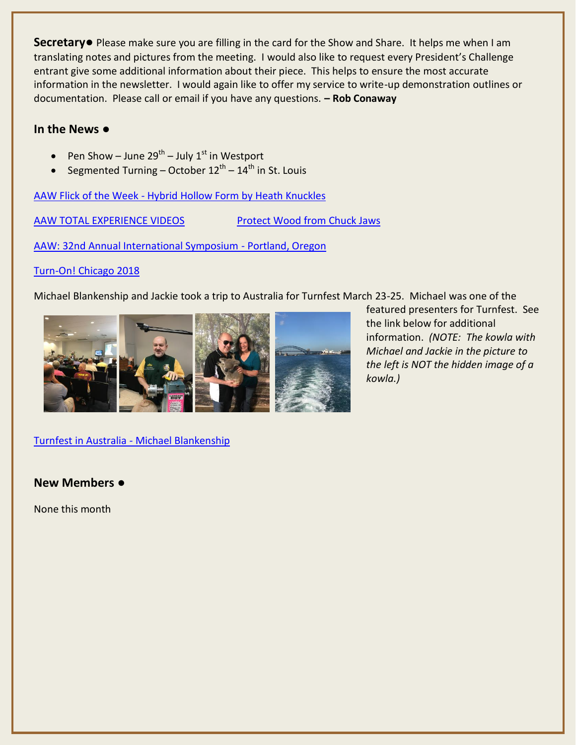**Secretary●** Please make sure you are filling in the card for the Show and Share. It helps me when I am translating notes and pictures from the meeting. I would also like to request every President's Challenge entrant give some additional information about their piece. This helps to ensure the most accurate information in the newsletter. I would again like to offer my service to write-up demonstration outlines or documentation. Please call or email if you have any questions. **– Rob Conaway**

#### **In the News ●**

- Pen Show June 29<sup>th</sup> July 1<sup>st</sup> in Westport
- Segmented Turning October  $12^{\text{th}}$   $14^{\text{th}}$  in St. Louis

AAW Flick of the Week - [Hybrid Hollow Form by Heath Knuckles](https://www.youtube.com/watch?v=CVduROaJ5LE)

[AAW TOTAL EXPERIENCE VIDEOS](http://files.constantcontact.com/c38abb3f001/3809b36c-4452-4202-8a1f-207f3bc165dd.pdf) [Protect Wood from Chuck Jaws](http://files.constantcontact.com/c38abb3f001/8872efb5-5bb0-48e6-aa05-fa45816d0e5a.pdf)

[AAW: 32nd Annual International Symposium -](http://www.woodturner.org/?page=2018Portland) Portland, Oregon

#### [Turn-On! Chicago 2018](http://www.turnonchicago.com/)

Michael Blankenship and Jackie took a trip to Australia for Turnfest March 23-25. Michael was one of the



featured presenters for Turnfest. See the link below for additional information. *(NOTE: The kowla with Michael and Jackie in the picture to the left is NOT the hidden image of a kowla.)*

[Turnfest in Australia -](https://www.facebook.com/330750287095232/videos/643068542530070/) Michael Blankenship

**New Members ●**

None this month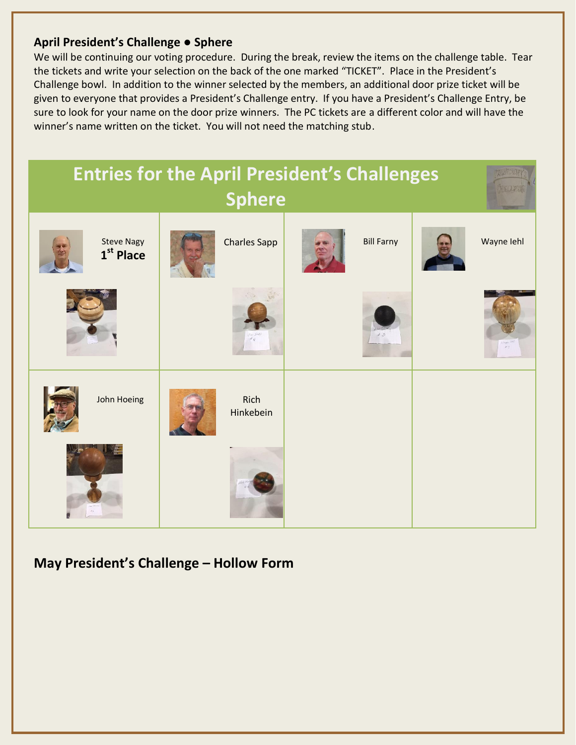## **April President's Challenge** ● **Sphere**

We will be continuing our voting procedure. During the break, review the items on the challenge table. Tear the tickets and write your selection on the back of the one marked "TICKET". Place in the President's Challenge bowl. In addition to the winner selected by the members, an additional door prize ticket will be given to everyone that provides a President's Challenge entry. If you have a President's Challenge Entry, be sure to look for your name on the door prize winners. The PC tickets are a different color and will have the winner's name written on the ticket. You will not need the matching stub.



# **May President's Challenge – Hollow Form**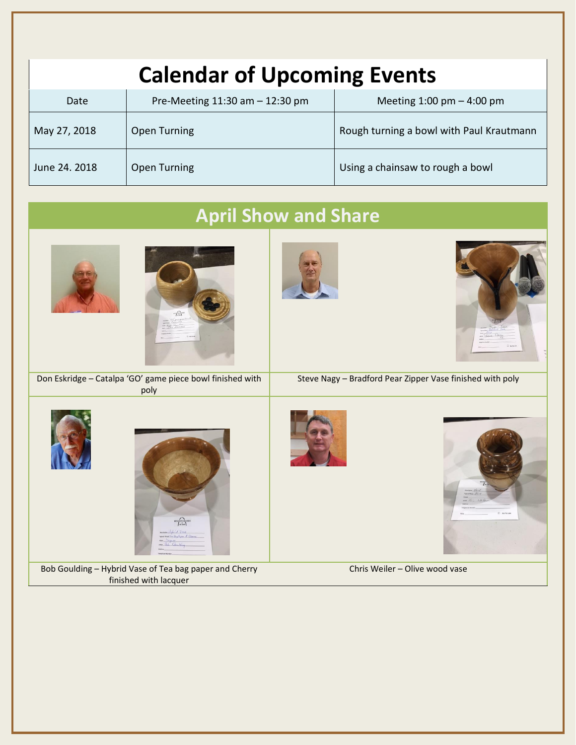| <b>Calendar of Upcoming Events</b> |                                    |                                          |  |  |
|------------------------------------|------------------------------------|------------------------------------------|--|--|
| Date                               | Pre-Meeting $11:30$ am $-12:30$ pm | Meeting $1:00$ pm $-4:00$ pm             |  |  |
| May 27, 2018                       | <b>Open Turning</b>                | Rough turning a bowl with Paul Krautmann |  |  |
| June 24. 2018                      | Open Turning                       | Using a chainsaw to rough a bowl         |  |  |

# **April Show and Share** Don Eskridge – Catalpa 'GO' game piece bowl finished with Steve Nagy – Bradford Pear Zipper Vase finished with poly poly  $\overbrace{\left\vert \begin{array}{c} \text{modtimes} \\ \text{mod} \end{array} \right\vert}^{WORNRRS}$ Bob Goulding – Hybrid Vase of Tea bag paper and Cherry Chris Weiler – Olive wood vasefinished with lacquer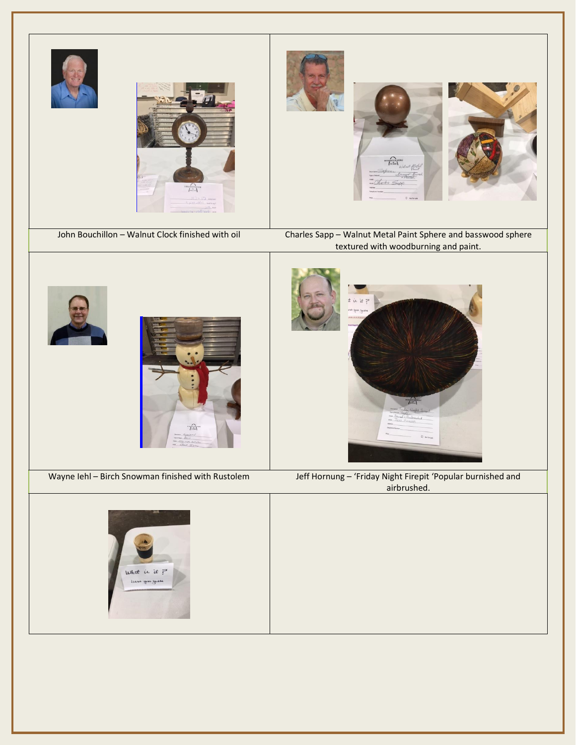